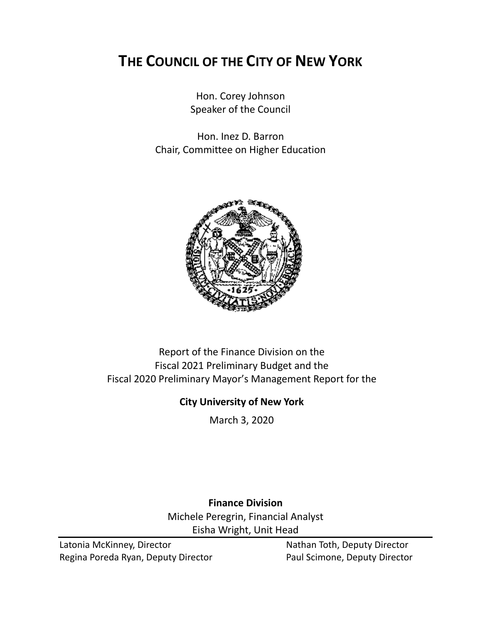# **THE COUNCIL OF THE CITY OF NEW YORK**

Hon. Corey Johnson Speaker of the Council

Hon. Inez D. Barron Chair, Committee on Higher Education



# Report of the Finance Division on the Fiscal 2021 Preliminary Budget and the Fiscal 2020 Preliminary Mayor's Management Report for the

# **City University of New York**

March 3, 2020

**Finance Division** Michele Peregrin, Financial Analyst Eisha Wright, Unit Head

Latonia McKinney, Director Nathan Toth, Deputy Director Regina Poreda Ryan, Deputy Director Paul Scimone, Deputy Director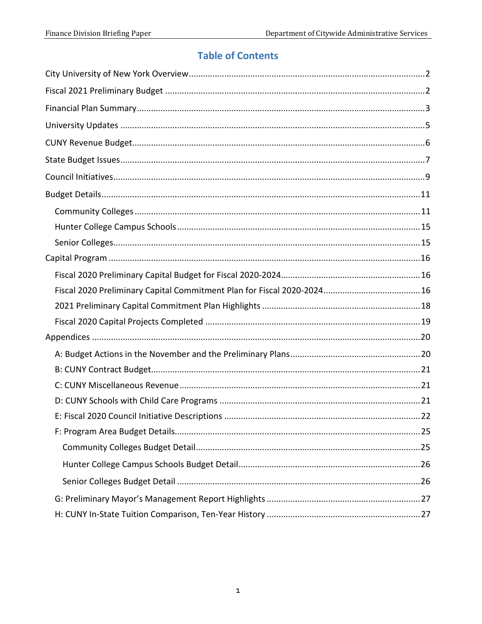# **Table of Contents**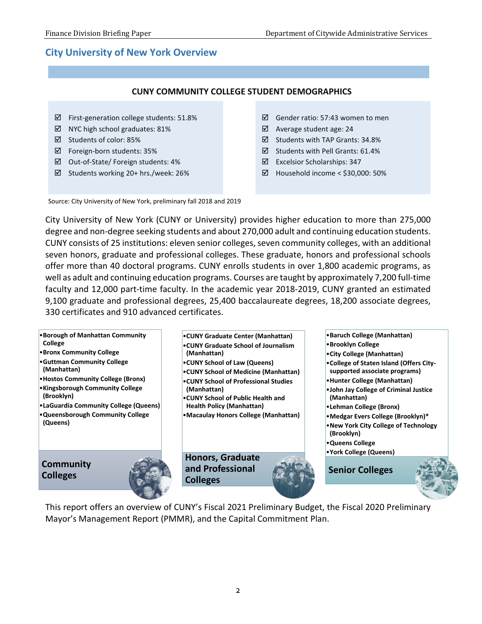# <span id="page-2-0"></span>**City University of New York Overview**

#### **CUNY COMMUNITY COLLEGE STUDENT DEMOGRAPHICS**

- $\boxtimes$  First-generation college students: 51.8%
- $\boxtimes$  NYC high school graduates: 81%
- $\boxtimes$  Students of color: 85%
- Foreign-born students: 35%
- $\boxtimes$  Out-of-State/ Foreign students: 4%
- Students working 20+ hrs./week: 26%
- $\boxtimes$  Gender ratio: 57:43 women to men
- $\boxtimes$  Average student age: 24
- $\boxtimes$  Students with TAP Grants: 34.8%
- $\boxtimes$  Students with Pell Grants: 61.4%
- Excelsior Scholarships: 347
- $\boxtimes$  Household income < \$30,000: 50%

Source: City University of New York, preliminary fall 2018 and 2019

City University of New York (CUNY or University) provides higher education to more than 275,000 degree and non-degree seeking students and about 270,000 adult and continuing education students. CUNY consists of 25 institutions: eleven senior colleges, seven community colleges, with an additional seven honors, graduate and professional colleges. These graduate, honors and professional schools offer more than 40 doctoral programs. CUNY enrolls students in over 1,800 academic programs, as well as adult and continuing education programs. Courses are taught by approximately 7,200 full-time faculty and 12,000 part-time faculty. In the academic year 2018-2019, CUNY granted an estimated 9,100 graduate and professional degrees, 25,400 baccalaureate degrees, 18,200 associate degrees, 330 certificates and 910 advanced certificates.



This report offers an overview of CUNY's Fiscal 2021 Preliminary Budget, the Fiscal 2020 Preliminary Mayor's Management Report (PMMR), and the Capital Commitment Plan.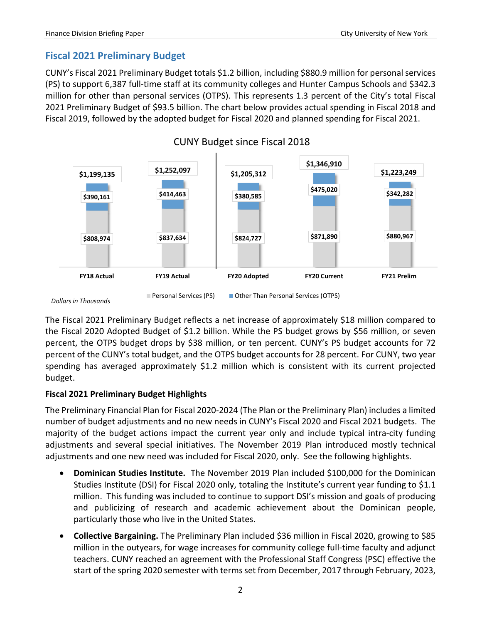# <span id="page-3-0"></span>**Fiscal 2021 Preliminary Budget**

CUNY's Fiscal 2021 Preliminary Budget totals \$1.2 billion, including \$880.9 million for personal services (PS) to support 6,387 full-time staff at its community colleges and Hunter Campus Schools and \$342.3 million for other than personal services (OTPS). This represents 1.3 percent of the City's total Fiscal 2021 Preliminary Budget of \$93.5 billion. The chart below provides actual spending in Fiscal 2018 and Fiscal 2019, followed by the adopted budget for Fiscal 2020 and planned spending for Fiscal 2021.



The Fiscal 2021 Preliminary Budget reflects a net increase of approximately \$18 million compared to the Fiscal 2020 Adopted Budget of \$1.2 billion. While the PS budget grows by \$56 million, or seven percent, the OTPS budget drops by \$38 million, or ten percent. CUNY's PS budget accounts for 72 percent of the CUNY's total budget, and the OTPS budget accounts for 28 percent. For CUNY, two year spending has averaged approximately \$1.2 million which is consistent with its current projected budget.

#### **Fiscal 2021 Preliminary Budget Highlights**

The Preliminary Financial Plan for Fiscal 2020-2024 (The Plan or the Preliminary Plan) includes a limited number of budget adjustments and no new needs in CUNY's Fiscal 2020 and Fiscal 2021 budgets. The majority of the budget actions impact the current year only and include typical intra-city funding adjustments and several special initiatives. The November 2019 Plan introduced mostly technical adjustments and one new need was included for Fiscal 2020, only. See the following highlights.

- **Dominican Studies Institute.** The November 2019 Plan included \$100,000 for the Dominican Studies Institute (DSI) for Fiscal 2020 only, totaling the Institute's current year funding to \$1.1 million. This funding was included to continue to support DSI's mission and goals of producing and publicizing of research and academic achievement about the Dominican people, particularly those who live in the United States.
- **Collective Bargaining.** The Preliminary Plan included \$36 million in Fiscal 2020, growing to \$85 million in the outyears, for wage increases for community college full-time faculty and adjunct teachers. CUNY reached an agreement with the Professional Staff Congress (PSC) effective the start of the spring 2020 semester with terms set from December, 2017 through February, 2023,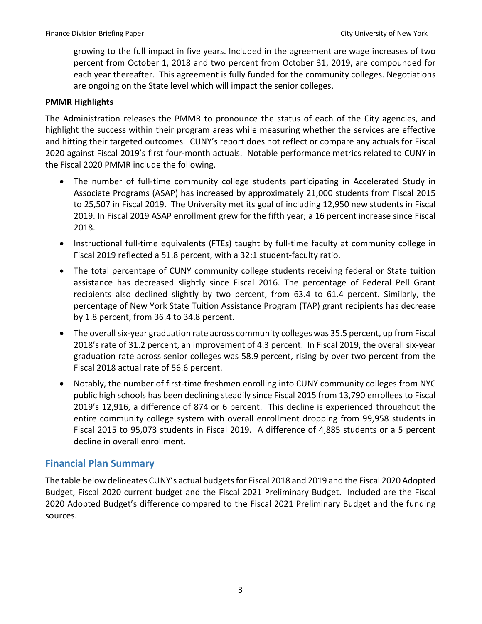growing to the full impact in five years. Included in the agreement are wage increases of two percent from October 1, 2018 and two percent from October 31, 2019, are compounded for each year thereafter. This agreement is fully funded for the community colleges. Negotiations are ongoing on the State level which will impact the senior colleges.

#### **PMMR Highlights**

The Administration releases the PMMR to pronounce the status of each of the City agencies, and highlight the success within their program areas while measuring whether the services are effective and hitting their targeted outcomes. CUNY's report does not reflect or compare any actuals for Fiscal 2020 against Fiscal 2019's first four-month actuals. Notable performance metrics related to CUNY in the Fiscal 2020 PMMR include the following.

- The number of full-time community college students participating in Accelerated Study in Associate Programs (ASAP) has increased by approximately 21,000 students from Fiscal 2015 to 25,507 in Fiscal 2019. The University met its goal of including 12,950 new students in Fiscal 2019. In Fiscal 2019 ASAP enrollment grew for the fifth year; a 16 percent increase since Fiscal 2018.
- Instructional full-time equivalents (FTEs) taught by full-time faculty at community college in Fiscal 2019 reflected a 51.8 percent, with a 32:1 student-faculty ratio.
- The total percentage of CUNY community college students receiving federal or State tuition assistance has decreased slightly since Fiscal 2016. The percentage of Federal Pell Grant recipients also declined slightly by two percent, from 63.4 to 61.4 percent. Similarly, the percentage of New York State Tuition Assistance Program (TAP) grant recipients has decrease by 1.8 percent, from 36.4 to 34.8 percent.
- The overall six-year graduation rate across community colleges was 35.5 percent, up from Fiscal 2018's rate of 31.2 percent, an improvement of 4.3 percent. In Fiscal 2019, the overall six-year graduation rate across senior colleges was 58.9 percent, rising by over two percent from the Fiscal 2018 actual rate of 56.6 percent.
- Notably, the number of first-time freshmen enrolling into CUNY community colleges from NYC public high schools has been declining steadily since Fiscal 2015 from 13,790 enrollees to Fiscal 2019's 12,916, a difference of 874 or 6 percent. This decline is experienced throughout the entire community college system with overall enrollment dropping from 99,958 students in Fiscal 2015 to 95,073 students in Fiscal 2019. A difference of 4,885 students or a 5 percent decline in overall enrollment.

#### <span id="page-4-0"></span>**Financial Plan Summary**

The table below delineates CUNY's actual budgetsfor Fiscal 2018 and 2019 and the Fiscal 2020 Adopted Budget, Fiscal 2020 current budget and the Fiscal 2021 Preliminary Budget. Included are the Fiscal 2020 Adopted Budget's difference compared to the Fiscal 2021 Preliminary Budget and the funding sources.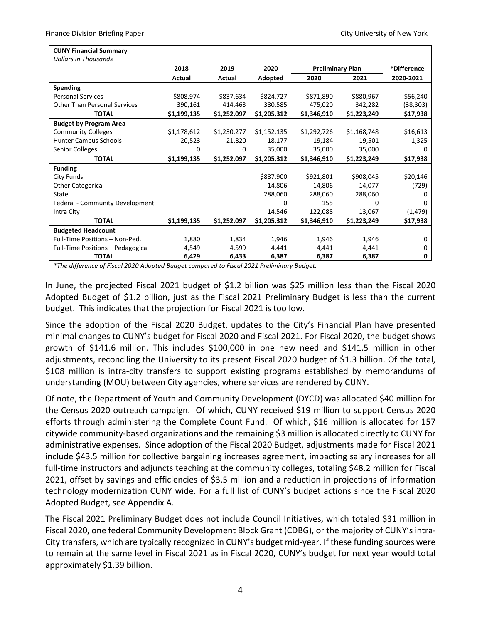| <b>CUNY Financial Summary</b>       |             |             |             |                         |             |             |
|-------------------------------------|-------------|-------------|-------------|-------------------------|-------------|-------------|
| <b>Dollars in Thousands</b>         |             |             |             |                         |             |             |
|                                     | 2018        | 2019        | 2020        | <b>Preliminary Plan</b> |             | *Difference |
|                                     | Actual      | Actual      | Adopted     | 2020                    | 2021        | 2020-2021   |
| Spending                            |             |             |             |                         |             |             |
| <b>Personal Services</b>            | \$808,974   | \$837,634   | \$824,727   | \$871,890               | \$880,967   | \$56,240    |
| <b>Other Than Personal Services</b> | 390,161     | 414,463     | 380,585     | 475,020                 | 342,282     | (38,303)    |
| <b>TOTAL</b>                        | \$1,199,135 | \$1,252,097 | \$1,205,312 | \$1,346,910             | \$1,223,249 | \$17,938    |
| <b>Budget by Program Area</b>       |             |             |             |                         |             |             |
| <b>Community Colleges</b>           | \$1,178,612 | \$1,230,277 | \$1,152,135 | \$1,292,726             | \$1,168,748 | \$16,613    |
| <b>Hunter Campus Schools</b>        | 20,523      | 21,820      | 18,177      | 19,184                  | 19,501      | 1,325       |
| <b>Senior Colleges</b>              | 0           | 0           | 35,000      | 35,000                  | 35,000      | 0           |
| <b>TOTAL</b>                        | \$1,199,135 | \$1,252,097 | \$1,205,312 | \$1,346,910             | \$1,223,249 | \$17,938    |
| <b>Funding</b>                      |             |             |             |                         |             |             |
| City Funds                          |             |             | \$887,900   | \$921,801               | \$908,045   | \$20,146    |
| <b>Other Categorical</b>            |             |             | 14,806      | 14,806                  | 14,077      | (729)       |
| State                               |             |             | 288,060     | 288,060                 | 288,060     |             |
| Federal - Community Development     |             |             | O           | 155                     | O           |             |
| Intra City                          |             |             | 14,546      | 122,088                 | 13,067      | (1, 479)    |
| <b>TOTAL</b>                        | \$1,199,135 | \$1,252,097 | \$1,205,312 | \$1,346,910             | \$1,223,249 | \$17,938    |
| <b>Budgeted Headcount</b>           |             |             |             |                         |             |             |
| Full-Time Positions - Non-Ped.      | 1,880       | 1,834       | 1,946       | 1,946                   | 1,946       | 0           |
| Full-Time Positions - Pedagogical   | 4,549       | 4,599       | 4,441       | 4,441                   | 4,441       | 0           |
| <b>TOTAL</b>                        | 6,429       | 6,433       | 6,387       | 6,387                   | 6,387       | 0           |

*\*The difference of Fiscal 2020 Adopted Budget compared to Fiscal 2021 Preliminary Budget.*

In June, the projected Fiscal 2021 budget of \$1.2 billion was \$25 million less than the Fiscal 2020 Adopted Budget of \$1.2 billion, just as the Fiscal 2021 Preliminary Budget is less than the current budget. This indicates that the projection for Fiscal 2021 is too low.

Since the adoption of the Fiscal 2020 Budget, updates to the City's Financial Plan have presented minimal changes to CUNY's budget for Fiscal 2020 and Fiscal 2021. For Fiscal 2020, the budget shows growth of \$141.6 million. This includes \$100,000 in one new need and \$141.5 million in other adjustments, reconciling the University to its present Fiscal 2020 budget of \$1.3 billion. Of the total, \$108 million is intra-city transfers to support existing programs established by memorandums of understanding (MOU) between City agencies, where services are rendered by CUNY.

Of note, the Department of Youth and Community Development (DYCD) was allocated \$40 million for the Census 2020 outreach campaign. Of which, CUNY received \$19 million to support Census 2020 efforts through administering the Complete Count Fund. Of which, \$16 million is allocated for 157 citywide community-based organizations and the remaining \$3 million is allocated directly to CUNY for administrative expenses. Since adoption of the Fiscal 2020 Budget, adjustments made for Fiscal 2021 include \$43.5 million for collective bargaining increases agreement, impacting salary increases for all full-time instructors and adjuncts teaching at the community colleges, totaling \$48.2 million for Fiscal 2021, offset by savings and efficiencies of \$3.5 million and a reduction in projections of information technology modernization CUNY wide. For a full list of CUNY's budget actions since the Fiscal 2020 Adopted Budget, see Appendix A.

The Fiscal 2021 Preliminary Budget does not include Council Initiatives, which totaled \$31 million in Fiscal 2020, one federal Community Development Block Grant (CDBG), or the majority of CUNY's intra-City transfers, which are typically recognized in CUNY's budget mid-year. If these funding sources were to remain at the same level in Fiscal 2021 as in Fiscal 2020, CUNY's budget for next year would total approximately \$1.39 billion.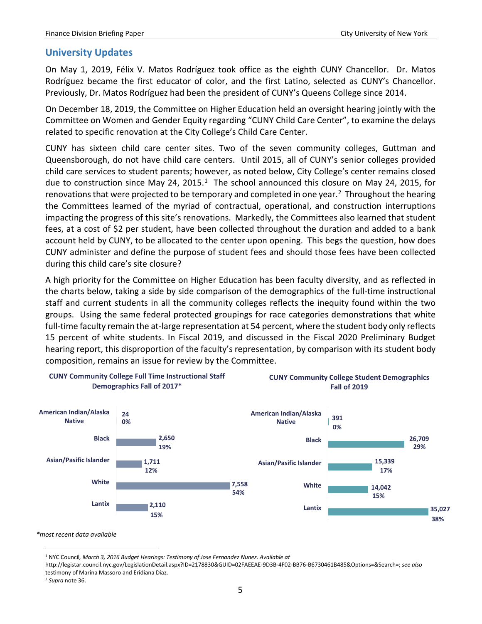# <span id="page-6-0"></span>**University Updates**

On May 1, 2019, Félix V. Matos Rodríguez took office as the eighth CUNY Chancellor. Dr. Matos Rodríguez became the first educator of color, and the first Latino, selected as CUNY's Chancellor. Previously, Dr. Matos Rodríguez had been the president of CUNY's Queens College since 2014.

On December 18, 2019, the Committee on Higher Education held an oversight hearing jointly with the Committee on Women and Gender Equity regarding "CUNY Child Care Center", to examine the delays related to specific renovation at the City College's Child Care Center.

CUNY has sixteen child care center sites. Two of the seven community colleges, Guttman and Queensborough, do not have child care centers. Until 2015, all of CUNY's senior colleges provided child care services to student parents; however, as noted below, City College's center remains closed due to construction since May 24, 2015.<sup>1</sup> The school announced this closure on May 24, 2015, for renovations that were projected to be temporary and completed in one year.<sup>2</sup> Throughout the hearing the Committees learned of the myriad of contractual, operational, and construction interruptions impacting the progress of this site's renovations. Markedly, the Committees also learned that student fees, at a cost of \$2 per student, have been collected throughout the duration and added to a bank account held by CUNY, to be allocated to the center upon opening. This begs the question, how does CUNY administer and define the purpose of student fees and should those fees have been collected during this child care's site closure?

A high priority for the Committee on Higher Education has been faculty diversity, and as reflected in the charts below, taking a side by side comparison of the demographics of the full-time instructional staff and current students in all the community colleges reflects the inequity found within the two groups. Using the same federal protected groupings for race categories demonstrations that white full-time faculty remain the at-large representation at 54 percent, where the student body only reflects 15 percent of white students. In Fiscal 2019, and discussed in the Fiscal 2020 Preliminary Budget hearing report, this disproportion of the faculty's representation, by comparison with its student body composition, remains an issue for review by the Committee.



<span id="page-6-1"></span>*\*most recent data available*

 $\overline{a}$ <sup>1</sup> NYC Council*, March 3, 2016 Budget Hearings: Testimony of Jose Fernandez Nunez. Available at* 

http://legistar.council.nyc.gov/LegislationDetail.aspx?ID=2178830&GUID=02FAEEAE-9D3B-4F02-BB76-B6730461B485&Options=&Search=; *see also* testimony of Marina Massoro and Eridiana Diaz.

<span id="page-6-2"></span><sup>2</sup> *Supra* note 36.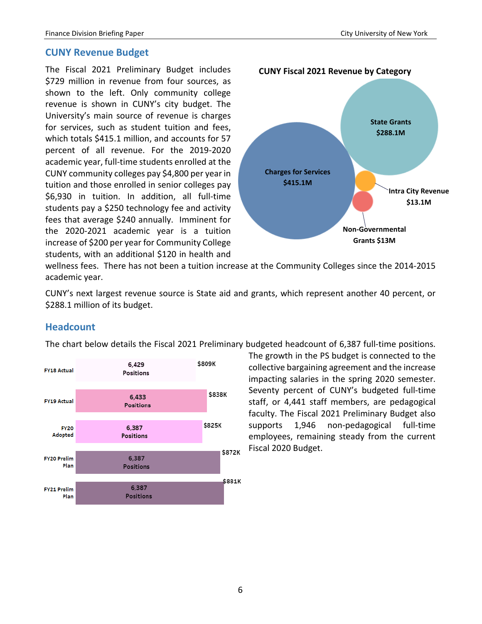#### <span id="page-7-0"></span>**CUNY Revenue Budget**

The Fiscal 2021 Preliminary Budget includes \$729 million in revenue from four sources, as shown to the left. Only community college revenue is shown in CUNY's city budget. The University's main source of revenue is charges for services, such as student tuition and fees, which totals \$415.1 million, and accounts for 57 percent of all revenue. For the 2019-2020 academic year, full-time students enrolled at the CUNY community colleges pay \$4,800 per year in tuition and those enrolled in senior colleges pay \$6,930 in tuition. In addition, all full-time students pay a \$250 technology fee and activity fees that average \$240 annually. Imminent for the 2020-2021 academic year is a tuition increase of \$200 per year for Community College students, with an additional \$120 in health and



wellness fees. There has not been a tuition increase at the Community Colleges since the 2014-2015 academic year.

CUNY's next largest revenue source is State aid and grants, which represent another 40 percent, or \$288.1 million of its budget.

### **Headcount**

The chart below details the Fiscal 2021 Preliminary budgeted headcount of 6,387 full-time positions.

<span id="page-7-1"></span>

The growth in the PS budget is connected to the collective bargaining agreement and the increase impacting salaries in the spring 2020 semester. Seventy percent of CUNY's budgeted full-time staff, or 4,441 staff members, are pedagogical faculty. The Fiscal 2021 Preliminary Budget also supports 1,946 non-pedagogical full-time employees, remaining steady from the current Fiscal 2020 Budget.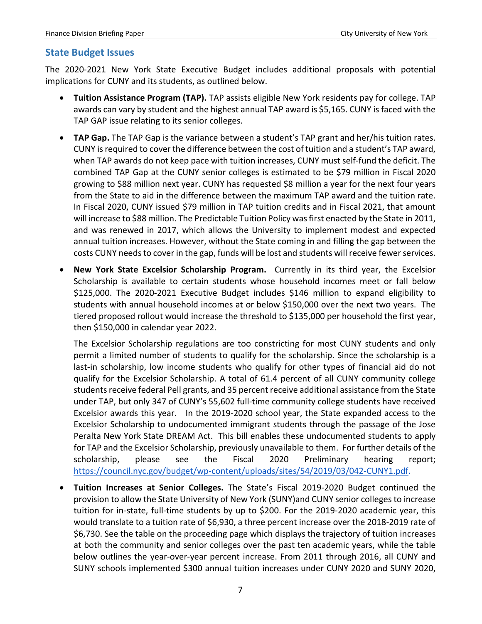# **State Budget Issues**

The 2020-2021 New York State Executive Budget includes additional proposals with potential implications for CUNY and its students, as outlined below.

- **Tuition Assistance Program (TAP).** TAP assists eligible New York residents pay for college. TAP awards can vary by student and the highest annual TAP award is \$5,165. CUNY is faced with the TAP GAP issue relating to its senior colleges.
- **TAP Gap.** The TAP Gap is the variance between a student's TAP grant and her/his tuition rates. CUNY is required to cover the difference between the cost of tuition and a student's TAP award, when TAP awards do not keep pace with tuition increases, CUNY must self-fund the deficit. The combined TAP Gap at the CUNY senior colleges is estimated to be \$79 million in Fiscal 2020 growing to \$88 million next year. CUNY has requested \$8 million a year for the next four years from the State to aid in the difference between the maximum TAP award and the tuition rate. In Fiscal 2020, CUNY issued \$79 million in TAP tuition credits and in Fiscal 2021, that amount will increase to \$88 million. The Predictable Tuition Policy was first enacted by the State in 2011, and was renewed in 2017, which allows the University to implement modest and expected annual tuition increases. However, without the State coming in and filling the gap between the costs CUNY needs to cover in the gap, funds will be lost and students will receive fewer services.
- **New York State Excelsior Scholarship Program.** Currently in its third year, the Excelsior Scholarship is available to certain students whose household incomes meet or fall below \$125,000. The 2020-2021 Executive Budget includes \$146 million to expand eligibility to students with annual household incomes at or below \$150,000 over the next two years. The tiered proposed rollout would increase the threshold to \$135,000 per household the first year, then \$150,000 in calendar year 2022.

The Excelsior Scholarship regulations are too constricting for most CUNY students and only permit a limited number of students to qualify for the scholarship. Since the scholarship is a last-in scholarship, low income students who qualify for other types of financial aid do not qualify for the Excelsior Scholarship. A total of 61.4 percent of all CUNY community college students receive federal Pell grants, and 35 percent receive additional assistance from the State under TAP, but only 347 of CUNY's 55,602 full-time community college students have received Excelsior awards this year. In the 2019-2020 school year, the State expanded access to the Excelsior Scholarship to undocumented immigrant students through the passage of the Jose Peralta New York State DREAM Act. This bill enables these undocumented students to apply for TAP and the Excelsior Scholarship, previously unavailable to them. For further details of the scholarship, please see the Fiscal 2020 Preliminary hearing report; [https://council.nyc.gov/budget/wp-content/uploads/sites/54/2019/03/042-CUNY1.pdf.](https://council.nyc.gov/budget/wp-content/uploads/sites/54/2019/03/042-CUNY1.pdf)

• **Tuition Increases at Senior Colleges.** The State's Fiscal 2019-2020 Budget continued the provision to allow the State University of New York (SUNY)and CUNY senior colleges to increase tuition for in-state, full-time students by up to \$200. For the 2019-2020 academic year, this would translate to a tuition rate of \$6,930, a three percent increase over the 2018-2019 rate of \$6,730. See the table on the proceeding page which displays the trajectory of tuition increases at both the community and senior colleges over the past ten academic years, while the table below outlines the year-over-year percent increase. From 2011 through 2016, all CUNY and SUNY schools implemented \$300 annual tuition increases under CUNY 2020 and SUNY 2020,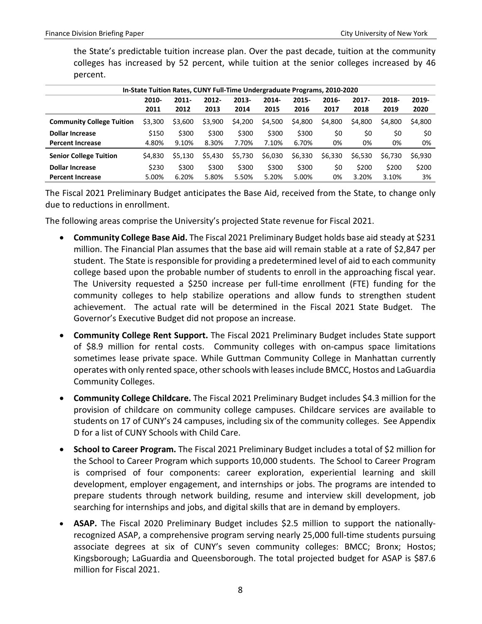the State's predictable tuition increase plan. Over the past decade, tuition at the community colleges has increased by 52 percent, while tuition at the senior colleges increased by 46 percent.

| In-State Tuition Rates, CUNY Full-Time Undergraduate Programs, 2010-2020 |         |          |         |         |         |         |         |          |         |         |
|--------------------------------------------------------------------------|---------|----------|---------|---------|---------|---------|---------|----------|---------|---------|
|                                                                          | 2010-   | $2011 -$ | 2012-   | 2013-   | 2014-   | 2015-   | 2016-   | $2017 -$ | 2018-   | 2019-   |
|                                                                          | 2011    | 2012     | 2013    | 2014    | 2015    | 2016    | 2017    | 2018     | 2019    | 2020    |
| <b>Community College Tuition</b>                                         | \$3,300 | \$3,600  | \$3,900 | \$4,200 | \$4,500 | \$4,800 | \$4,800 | \$4.800  | \$4,800 | \$4,800 |
| Dollar Increase                                                          | \$150   | \$300    | \$300   | \$300   | \$300   | \$300   | \$0     | \$0      | \$0     | \$0     |
| <b>Percent Increase</b>                                                  | 4.80%   | 9.10%    | 8.30%   | 7.70%   | 7.10%   | 6.70%   | 0%      | 0%       | 0%      | 0%      |
| <b>Senior College Tuition</b>                                            | \$4,830 | \$5.130  | \$5,430 | \$5,730 | \$6,030 | \$6,330 | \$6,330 | \$6.530  | \$6.730 | \$6,930 |
| Dollar Increase                                                          | \$230   | \$300    | \$300   | \$300   | \$300   | \$300   | \$0     | \$200    | \$200   | \$200   |
| <b>Percent Increase</b>                                                  | 5.00%   | 6.20%    | 5.80%   | 5.50%   | 5.20%   | 5.00%   | 0%      | 3.20%    | 3.10%   | 3%      |

The Fiscal 2021 Preliminary Budget anticipates the Base Aid, received from the State, to change only due to reductions in enrollment.

The following areas comprise the University's projected State revenue for Fiscal 2021.

- **Community College Base Aid.** The Fiscal 2021 Preliminary Budget holds base aid steady at \$231 million. The Financial Plan assumes that the base aid will remain stable at a rate of \$2,847 per student. The State is responsible for providing a predetermined level of aid to each community college based upon the probable number of students to enroll in the approaching fiscal year. The University requested a \$250 increase per full-time enrollment (FTE) funding for the community colleges to help stabilize operations and allow funds to strengthen student achievement. The actual rate will be determined in the Fiscal 2021 State Budget. The Governor's Executive Budget did not propose an increase.
- **Community College Rent Support.** The Fiscal 2021 Preliminary Budget includes State support of \$8.9 million for rental costs. Community colleges with on-campus space limitations sometimes lease private space. While Guttman Community College in Manhattan currently operates with only rented space, other schools with leases include BMCC, Hostos and LaGuardia Community Colleges.
- **Community College Childcare.** The Fiscal 2021 Preliminary Budget includes \$4.3 million for the provision of childcare on community college campuses. Childcare services are available to students on 17 of CUNY's 24 campuses, including six of the community colleges. See Appendix D for a list of CUNY Schools with Child Care.
- **School to Career Program.** The Fiscal 2021 Preliminary Budget includes a total of \$2 million for the School to Career Program which supports 10,000 students. The School to Career Program is comprised of four components: career exploration, experiential learning and skill development, employer engagement, and internships or jobs. The programs are intended to prepare students through network building, resume and interview skill development, job searching for internships and jobs, and digital skills that are in demand by employers.
- **ASAP.** The Fiscal 2020 Preliminary Budget includes \$2.5 million to support the nationallyrecognized ASAP, a comprehensive program serving nearly 25,000 full-time students pursuing associate degrees at six of CUNY's seven community colleges: BMCC; Bronx; Hostos; Kingsborough; LaGuardia and Queensborough. The total projected budget for ASAP is \$87.6 million for Fiscal 2021.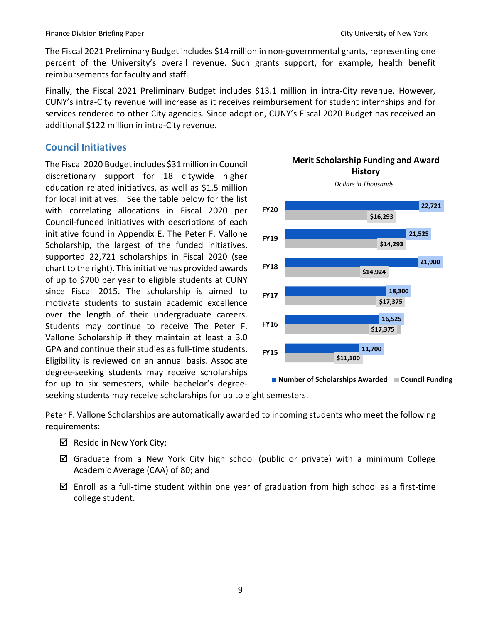The Fiscal 2021 Preliminary Budget includes \$14 million in non-governmental grants, representing one percent of the University's overall revenue. Such grants support, for example, health benefit reimbursements for faculty and staff.

Finally, the Fiscal 2021 Preliminary Budget includes \$13.1 million in intra-City revenue. However, CUNY's intra-City revenue will increase as it receives reimbursement for student internships and for services rendered to other City agencies. Since adoption, CUNY's Fiscal 2020 Budget has received an additional \$122 million in intra-City revenue.

### <span id="page-10-0"></span>**Council Initiatives**

The Fiscal 2020 Budget includes \$31 million in Council discretionary support for 18 citywide higher education related initiatives, as well as \$1.5 million for local initiatives. See the table below for the list with correlating allocations in Fiscal 2020 per Council-funded initiatives with descriptions of each initiative found in Appendix E. The Peter F. Vallone Scholarship, the largest of the funded initiatives, supported 22,721 scholarships in Fiscal 2020 (see chart to the right). This initiative has provided awards of up to \$700 per year to eligible students at CUNY since Fiscal 2015. The scholarship is aimed to motivate students to sustain academic excellence over the length of their undergraduate careers. Students may continue to receive The Peter F. Vallone Scholarship if they maintain at least a 3.0 GPA and continue their studies as full-time students. Eligibility is reviewed on an annual basis. Associate degree-seeking students may receive scholarships for up to six semesters, while bachelor's degree-



**Merit Scholarship Funding and Award** 

■ Number of Scholarships Awarded ■ Council Funding

seeking students may receive scholarships for up to eight semesters.

Peter F. Vallone Scholarships are automatically awarded to incoming students who meet the following requirements:

- $\boxtimes$  Reside in New York City;
- $\boxtimes$  Graduate from a New York City high school (public or private) with a minimum College Academic Average (CAA) of 80; and
- $\boxtimes$  Enroll as a full-time student within one year of graduation from high school as a first-time college student.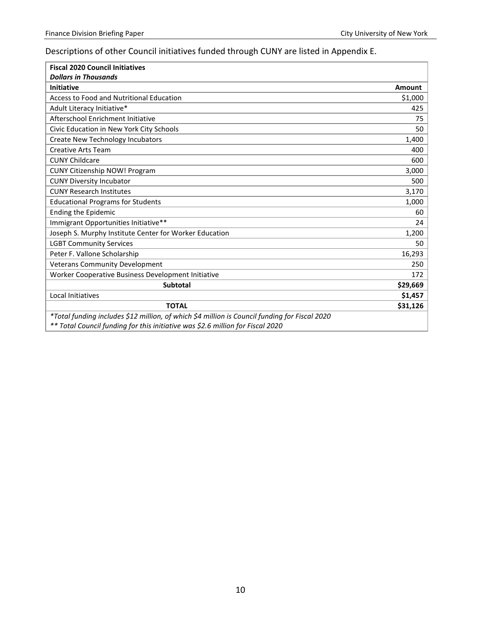#### Descriptions of other Council initiatives funded through CUNY are listed in Appendix E.

<span id="page-11-0"></span>

| <b>Fiscal 2020 Council Initiatives</b>                                                        |               |
|-----------------------------------------------------------------------------------------------|---------------|
| <b>Dollars in Thousands</b>                                                                   |               |
| <b>Initiative</b>                                                                             | <b>Amount</b> |
| Access to Food and Nutritional Education                                                      | \$1,000       |
| Adult Literacy Initiative*                                                                    | 425           |
| Afterschool Enrichment Initiative                                                             | 75            |
| Civic Education in New York City Schools                                                      | 50            |
| <b>Create New Technology Incubators</b>                                                       | 1,400         |
| <b>Creative Arts Team</b>                                                                     | 400           |
| <b>CUNY Childcare</b>                                                                         | 600           |
| <b>CUNY Citizenship NOW! Program</b>                                                          | 3,000         |
| <b>CUNY Diversity Incubator</b>                                                               | 500           |
| <b>CUNY Research Institutes</b>                                                               | 3,170         |
| <b>Educational Programs for Students</b>                                                      | 1,000         |
| <b>Ending the Epidemic</b>                                                                    | 60            |
| Immigrant Opportunities Initiative**                                                          | 24            |
| Joseph S. Murphy Institute Center for Worker Education                                        | 1,200         |
| <b>LGBT Community Services</b>                                                                | 50            |
| Peter F. Vallone Scholarship                                                                  | 16,293        |
| <b>Veterans Community Development</b>                                                         | 250           |
| Worker Cooperative Business Development Initiative                                            | 172           |
| <b>Subtotal</b>                                                                               | \$29,669      |
| Local Initiatives                                                                             | \$1,457       |
| <b>TOTAL</b>                                                                                  | \$31,126      |
| *Total funding includes \$12 million, of which \$4 million is Council funding for Fiscal 2020 |               |
| ** Total Council funding for this initiative was \$2.6 million for Fiscal 2020                |               |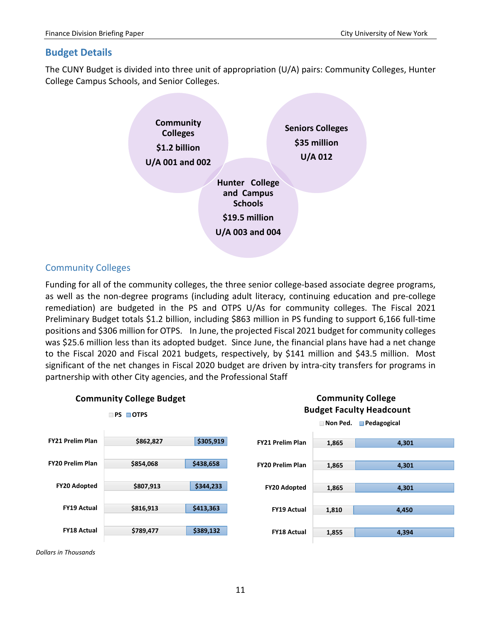# **Budget Details**

The CUNY Budget is divided into three unit of appropriation (U/A) pairs: Community Colleges, Hunter College Campus Schools, and Senior Colleges.



### <span id="page-12-0"></span>Community Colleges

Funding for all of the community colleges, the three senior college-based associate degree programs, as well as the non-degree programs (including adult literacy, continuing education and pre-college remediation) are budgeted in the PS and OTPS U/As for community colleges. The Fiscal 2021 Preliminary Budget totals \$1.2 billion, including \$863 million in PS funding to support 6,166 full-time positions and \$306 million for OTPS. In June, the projected Fiscal 2021 budget for community colleges was \$25.6 million less than its adopted budget. Since June, the financial plans have had a net change to the Fiscal 2020 and Fiscal 2021 budgets, respectively, by \$141 million and \$43.5 million. Most significant of the net changes in Fiscal 2020 budget are driven by intra-city transfers for programs in partnership with other City agencies, and the Professional Staff



*Dollars in Thousands*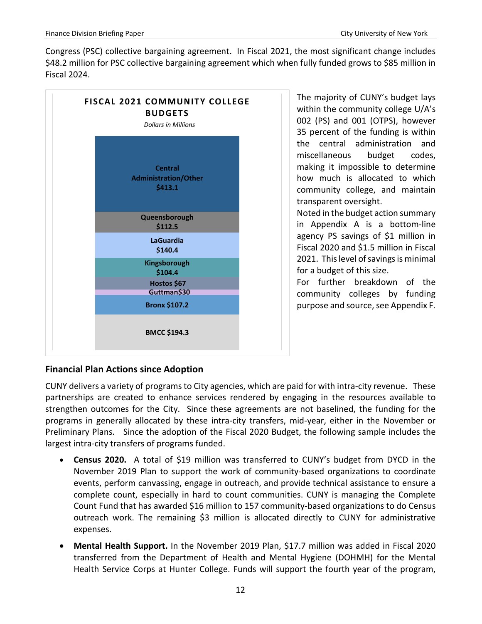Congress (PSC) collective bargaining agreement. In Fiscal 2021, the most significant change includes \$48.2 million for PSC collective bargaining agreement which when fully funded grows to \$85 million in Fiscal 2024.



The majority of CUNY's budget lays within the community college U/A's 002 (PS) and 001 (OTPS), however 35 percent of the funding is within the central administration and miscellaneous budget codes, making it impossible to determine how much is allocated to which community college, and maintain transparent oversight.

Noted in the budget action summary in Appendix A is a bottom-line agency PS savings of \$1 million in Fiscal 2020 and \$1.5 million in Fiscal 2021. This level of savings is minimal for a budget of this size.

For further breakdown of the community colleges by funding purpose and source, see Appendix F.

### **Financial Plan Actions since Adoption**

CUNY delivers a variety of programs to City agencies, which are paid for with intra-city revenue. These partnerships are created to enhance services rendered by engaging in the resources available to strengthen outcomes for the City. Since these agreements are not baselined, the funding for the programs in generally allocated by these intra-city transfers, mid-year, either in the November or Preliminary Plans. Since the adoption of the Fiscal 2020 Budget, the following sample includes the largest intra-city transfers of programs funded.

- **Census 2020.** A total of \$19 million was transferred to CUNY's budget from DYCD in the November 2019 Plan to support the work of community-based organizations to coordinate events, perform canvassing, engage in outreach, and provide technical assistance to ensure a complete count, especially in hard to count communities. CUNY is managing the Complete Count Fund that has awarded \$16 million to 157 community-based organizations to do Census outreach work. The remaining \$3 million is allocated directly to CUNY for administrative expenses.
- **Mental Health Support.** In the November 2019 Plan, \$17.7 million was added in Fiscal 2020 transferred from the Department of Health and Mental Hygiene (DOHMH) for the Mental Health Service Corps at Hunter College. Funds will support the fourth year of the program,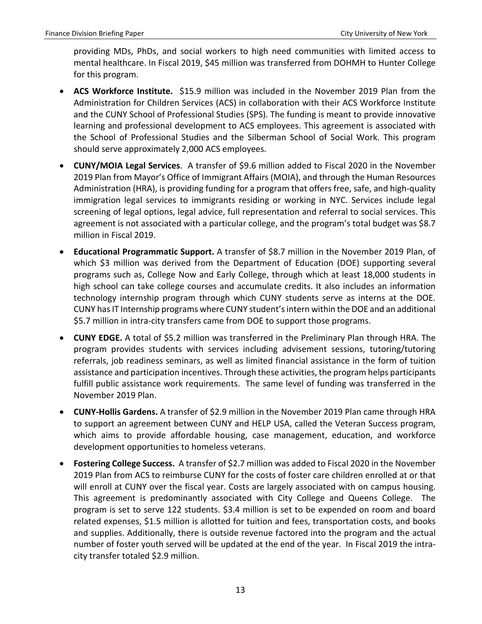providing MDs, PhDs, and social workers to high need communities with limited access to mental healthcare. In Fiscal 2019, \$45 million was transferred from DOHMH to Hunter College for this program.

- **ACS Workforce Institute.** \$15.9 million was included in the November 2019 Plan from the Administration for Children Services (ACS) in collaboration with their ACS Workforce Institute and the CUNY School of Professional Studies (SPS). The funding is meant to provide innovative learning and professional development to ACS employees. This agreement is associated with the School of Professional Studies and the Silberman School of Social Work. This program should serve approximately 2,000 ACS employees.
- **CUNY/MOIA Legal Services**. A transfer of \$9.6 million added to Fiscal 2020 in the November 2019 Plan from Mayor's Office of Immigrant Affairs (MOIA), and through the Human Resources Administration (HRA), is providing funding for a program that offers free, safe, and high-quality immigration legal services to immigrants residing or working in NYC. Services include legal screening of legal options, legal advice, full representation and referral to social services. This agreement is not associated with a particular college, and the program's total budget was \$8.7 million in Fiscal 2019.
- **Educational Programmatic Support.** A transfer of \$8.7 million in the November 2019 Plan, of which \$3 million was derived from the Department of Education (DOE) supporting several programs such as, College Now and Early College, through which at least 18,000 students in high school can take college courses and accumulate credits. It also includes an information technology internship program through which CUNY students serve as interns at the DOE. CUNY has IT Internship programs where CUNY student's intern within the DOE and an additional \$5.7 million in intra-city transfers came from DOE to support those programs.
- **CUNY EDGE.** A total of \$5.2 million was transferred in the Preliminary Plan through HRA. The program provides students with services including advisement sessions, tutoring/tutoring referrals, job readiness seminars, as well as limited financial assistance in the form of tuition assistance and participation incentives. Through these activities, the program helps participants fulfill public assistance work requirements. The same level of funding was transferred in the November 2019 Plan.
- **CUNY-Hollis Gardens.** A transfer of \$2.9 million in the November 2019 Plan came through HRA to support an agreement between CUNY and HELP USA, called the Veteran Success program, which aims to provide affordable housing, case management, education, and workforce development opportunities to homeless veterans.
- **Fostering College Success.** A transfer of \$2.7 million was added to Fiscal 2020 in the November 2019 Plan from ACS to reimburse CUNY for the costs of foster care children enrolled at or that will enroll at CUNY over the fiscal year. Costs are largely associated with on campus housing. This agreement is predominantly associated with City College and Queens College. The program is set to serve 122 students. \$3.4 million is set to be expended on room and board related expenses, \$1.5 million is allotted for tuition and fees, transportation costs, and books and supplies. Additionally, there is outside revenue factored into the program and the actual number of foster youth served will be updated at the end of the year. In Fiscal 2019 the intracity transfer totaled \$2.9 million.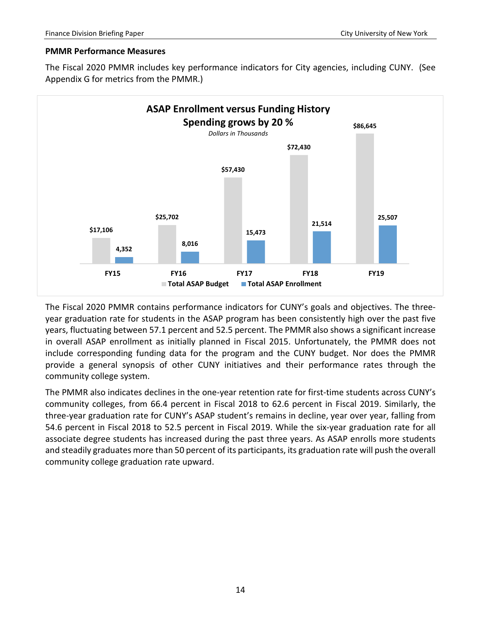#### **PMMR Performance Measures**

The Fiscal 2020 PMMR includes key performance indicators for City agencies, including CUNY. (See Appendix G for metrics from the PMMR.)



The Fiscal 2020 PMMR contains performance indicators for CUNY's goals and objectives. The threeyear graduation rate for students in the ASAP program has been consistently high over the past five years, fluctuating between 57.1 percent and 52.5 percent. The PMMR also shows a significant increase in overall ASAP enrollment as initially planned in Fiscal 2015. Unfortunately, the PMMR does not include corresponding funding data for the program and the CUNY budget. Nor does the PMMR provide a general synopsis of other CUNY initiatives and their performance rates through the community college system.

The PMMR also indicates declines in the one-year retention rate for first-time students across CUNY's community colleges, from 66.4 percent in Fiscal 2018 to 62.6 percent in Fiscal 2019. Similarly, the three-year graduation rate for CUNY's ASAP student's remains in decline, year over year, falling from 54.6 percent in Fiscal 2018 to 52.5 percent in Fiscal 2019. While the six-year graduation rate for all associate degree students has increased during the past three years. As ASAP enrolls more students and steadily graduates more than 50 percent of its participants, its graduation rate will push the overall community college graduation rate upward.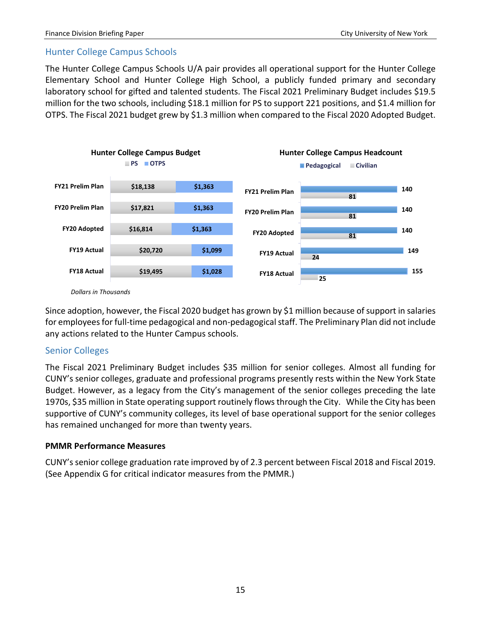#### <span id="page-16-0"></span>Hunter College Campus Schools

The Hunter College Campus Schools U/A pair provides all operational support for the Hunter College Elementary School and Hunter College High School, a publicly funded primary and secondary laboratory school for gifted and talented students. The Fiscal 2021 Preliminary Budget includes \$19.5 million for the two schools, including \$18.1 million for PS to support 221 positions, and \$1.4 million for OTPS. The Fiscal 2021 budget grew by \$1.3 million when compared to the Fiscal 2020 Adopted Budget.



*Dollars in Thousands*

Since adoption, however, the Fiscal 2020 budget has grown by \$1 million because of support in salaries for employees for full-time pedagogical and non-pedagogical staff. The Preliminary Plan did not include any actions related to the Hunter Campus schools.

#### <span id="page-16-1"></span>Senior Colleges

The Fiscal 2021 Preliminary Budget includes \$35 million for senior colleges. Almost all funding for CUNY's senior colleges, graduate and professional programs presently rests within the New York State Budget. However, as a legacy from the City's management of the senior colleges preceding the late 1970s, \$35 million in State operating support routinely flows through the City. While the City has been supportive of CUNY's community colleges, its level of base operational support for the senior colleges has remained unchanged for more than twenty years.

#### **PMMR Performance Measures**

CUNY's senior college graduation rate improved by of 2.3 percent between Fiscal 2018 and Fiscal 2019. (See Appendix G for critical indicator measures from the PMMR.)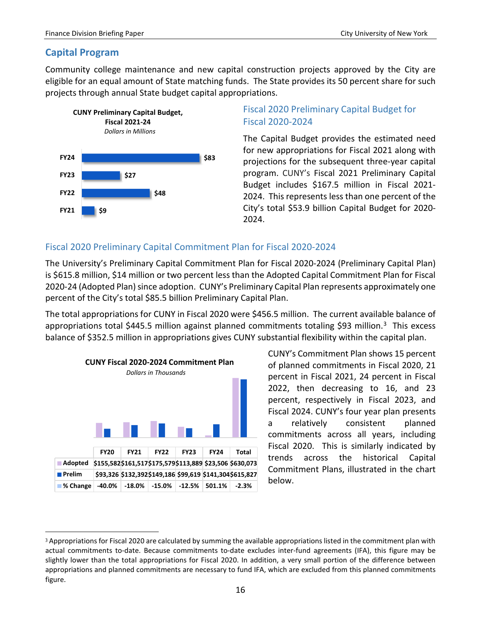### <span id="page-17-0"></span>**Capital Program**

Community college maintenance and new capital construction projects approved by the City are eligible for an equal amount of State matching funds. The State provides its 50 percent share for such projects through annual State budget capital appropriations.



# <span id="page-17-1"></span>Fiscal 2020 Preliminary Capital Budget for Fiscal 2020-2024

The Capital Budget provides the estimated need for new appropriations for Fiscal 2021 along with projections for the subsequent three-year capital program. CUNY's Fiscal 2021 Preliminary Capital Budget includes \$167.5 million in Fiscal 2021- 2024. This represents less than one percent of the City's total \$53.9 billion Capital Budget for 2020- 2024.

# <span id="page-17-2"></span>Fiscal 2020 Preliminary Capital Commitment Plan for Fiscal 2020-2024

The University's Preliminary Capital Commitment Plan for Fiscal 2020-2024 (Preliminary Capital Plan) is \$615.8 million, \$14 million or two percent less than the Adopted Capital Commitment Plan for Fiscal 2020-24 (Adopted Plan) since adoption. CUNY's Preliminary Capital Plan represents approximately one percent of the City's total \$85.5 billion Preliminary Capital Plan.

The total appropriations for CUNY in Fiscal 2020 were \$456.5 million. The current available balance of appropriations total \$445.5 million against planned commitments totaling \$9[3](#page-17-3) million.<sup>3</sup> This excess balance of \$352.5 million in appropriations gives CUNY substantial flexibility within the capital plan.



CUNY's Commitment Plan shows 15 percent of planned commitments in Fiscal 2020, 21 percent in Fiscal 2021, 24 percent in Fiscal 2022, then decreasing to 16, and 23 percent, respectively in Fiscal 2023, and Fiscal 2024. CUNY's four year plan presents a relatively consistent planned commitments across all years, including Fiscal 2020. This is similarly indicated by trends across the historical Capital Commitment Plans, illustrated in the chart below.

<span id="page-17-3"></span><sup>&</sup>lt;sup>3</sup> Appropriations for Fiscal 2020 are calculated by summing the available appropriations listed in the commitment plan with actual commitments to-date. Because commitments to-date excludes inter-fund agreements (IFA), this figure may be slightly lower than the total appropriations for Fiscal 2020. In addition, a very small portion of the difference between appropriations and planned commitments are necessary to fund IFA, which are excluded from this planned commitments figure.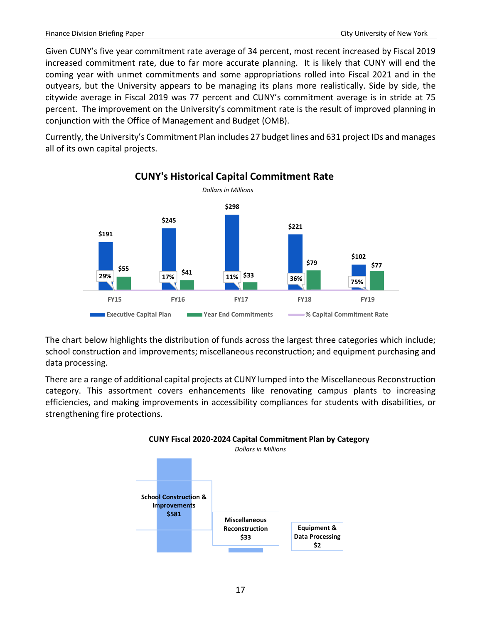Given CUNY's five year commitment rate average of 34 percent, most recent increased by Fiscal 2019 increased commitment rate, due to far more accurate planning. It is likely that CUNY will end the coming year with unmet commitments and some appropriations rolled into Fiscal 2021 and in the outyears, but the University appears to be managing its plans more realistically. Side by side, the citywide average in Fiscal 2019 was 77 percent and CUNY's commitment average is in stride at 75 percent. The improvement on the University's commitment rate is the result of improved planning in conjunction with the Office of Management and Budget (OMB).

Currently, the University's Commitment Plan includes 27 budget lines and 631 project IDs and manages all of its own capital projects.



# **CUNY's Historical Capital Commitment Rate**

The chart below highlights the distribution of funds across the largest three categories which include; school construction and improvements; miscellaneous reconstruction; and equipment purchasing and data processing.

There are a range of additional capital projects at CUNY lumped into the Miscellaneous Reconstruction category. This assortment covers enhancements like renovating campus plants to increasing efficiencies, and making improvements in accessibility compliances for students with disabilities, or strengthening fire protections.

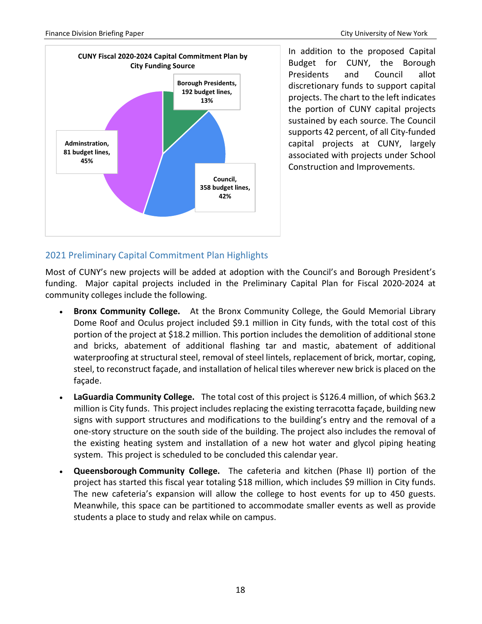

In addition to the proposed Capital Budget for CUNY, the Borough Presidents and Council allot discretionary funds to support capital projects. The chart to the left indicates the portion of CUNY capital projects sustained by each source. The Council supports 42 percent, of all City-funded capital projects at CUNY, largely associated with projects under School Construction and Improvements.

# <span id="page-19-0"></span>2021 Preliminary Capital Commitment Plan Highlights

Most of CUNY's new projects will be added at adoption with the Council's and Borough President's funding. Major capital projects included in the Preliminary Capital Plan for Fiscal 2020-2024 at community colleges include the following.

- **Bronx Community College.** At the Bronx Community College, the Gould Memorial Library Dome Roof and Oculus project included \$9.1 million in City funds, with the total cost of this portion of the project at \$18.2 million. This portion includes the demolition of additional stone and bricks, abatement of additional flashing tar and mastic, abatement of additional waterproofing at structural steel, removal of steel lintels, replacement of brick, mortar, coping, steel, to reconstruct façade, and installation of helical tiles wherever new brick is placed on the façade.
- **LaGuardia Community College.** The total cost of this project is \$126.4 million, of which \$63.2 million is City funds. This project includes replacing the existing terracotta façade, building new signs with support structures and modifications to the building's entry and the removal of a one-story structure on the south side of the building. The project also includes the removal of the existing heating system and installation of a new hot water and glycol piping heating system. This project is scheduled to be concluded this calendar year.
- <span id="page-19-1"></span>• **Queensborough Community College.** The cafeteria and kitchen (Phase II) portion of the project has started this fiscal year totaling \$18 million, which includes \$9 million in City funds. The new cafeteria's expansion will allow the college to host events for up to 450 guests. Meanwhile, this space can be partitioned to accommodate smaller events as well as provide students a place to study and relax while on campus.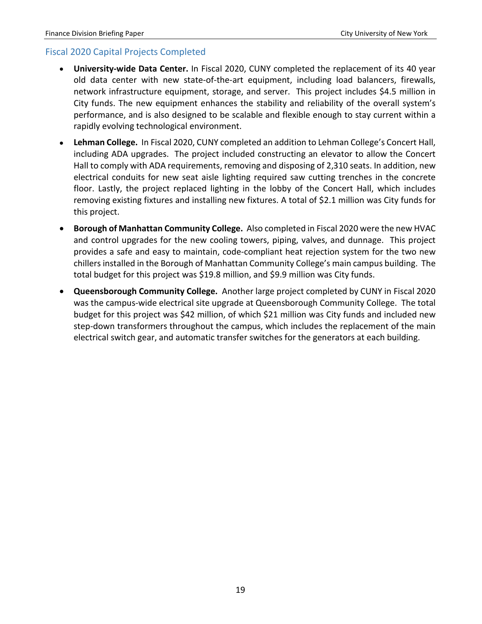#### Fiscal 2020 Capital Projects Completed

- **University-wide Data Center.** In Fiscal 2020, CUNY completed the replacement of its 40 year old data center with new state-of-the-art equipment, including load balancers, firewalls, network infrastructure equipment, storage, and server. This project includes \$4.5 million in City funds. The new equipment enhances the stability and reliability of the overall system's performance, and is also designed to be scalable and flexible enough to stay current within a rapidly evolving technological environment.
- **Lehman College.** In Fiscal 2020, CUNY completed an addition to Lehman College's Concert Hall, including ADA upgrades. The project included constructing an elevator to allow the Concert Hall to comply with ADA requirements, removing and disposing of 2,310 seats. In addition, new electrical conduits for new seat aisle lighting required saw cutting trenches in the concrete floor. Lastly, the project replaced lighting in the lobby of the Concert Hall, which includes removing existing fixtures and installing new fixtures. A total of \$2.1 million was City funds for this project.
- **Borough of Manhattan Community College.** Also completed in Fiscal 2020 were the new HVAC and control upgrades for the new cooling towers, piping, valves, and dunnage. This project provides a safe and easy to maintain, code-compliant heat rejection system for the two new chillers installed in the Borough of Manhattan Community College's main campus building. The total budget for this project was \$19.8 million, and \$9.9 million was City funds.
- **Queensborough Community College.** Another large project completed by CUNY in Fiscal 2020 was the campus-wide electrical site upgrade at Queensborough Community College. The total budget for this project was \$42 million, of which \$21 million was City funds and included new step-down transformers throughout the campus, which includes the replacement of the main electrical switch gear, and automatic transfer switches for the generators at each building.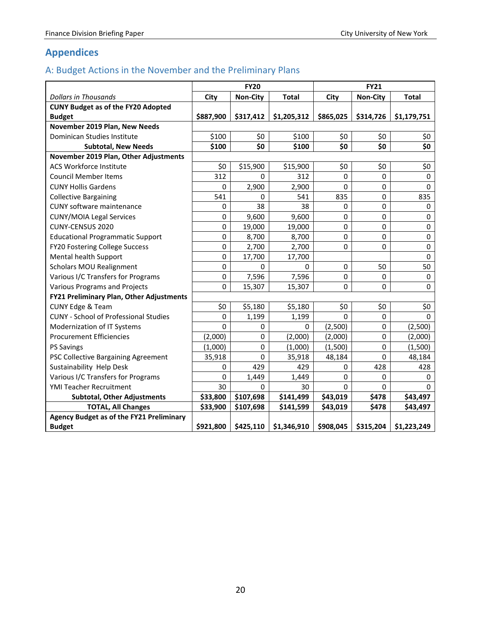# <span id="page-21-0"></span>**Appendices**

# <span id="page-21-1"></span>A: Budget Actions in the November and the Preliminary Plans

|                                              | <b>FY20</b> |                 |              | <b>FY21</b> |                 |              |
|----------------------------------------------|-------------|-----------------|--------------|-------------|-----------------|--------------|
| <b>Dollars in Thousands</b>                  | City        | <b>Non-City</b> | <b>Total</b> | City        | <b>Non-City</b> | <b>Total</b> |
| <b>CUNY Budget as of the FY20 Adopted</b>    |             |                 |              |             |                 |              |
| <b>Budget</b>                                | \$887,900   | \$317,412       | \$1,205,312  | \$865,025   | \$314,726       | \$1,179,751  |
| November 2019 Plan, New Needs                |             |                 |              |             |                 |              |
| Dominican Studies Institute                  | \$100       | \$0             | \$100        | \$0         | \$0             | \$0          |
| <b>Subtotal, New Needs</b>                   | \$100       | \$0             | \$100        | \$0         | \$0             | \$0          |
| November 2019 Plan, Other Adjustments        |             |                 |              |             |                 |              |
| <b>ACS Workforce Institute</b>               | \$0         | \$15,900        | \$15,900     | \$0         | \$0             | \$0          |
| <b>Council Member Items</b>                  | 312         | $\Omega$        | 312          | $\mathbf 0$ | $\mathbf 0$     | $\pmb{0}$    |
| <b>CUNY Hollis Gardens</b>                   | 0           | 2,900           | 2,900        | $\Omega$    | 0               | $\Omega$     |
| <b>Collective Bargaining</b>                 | 541         | 0               | 541          | 835         | $\Omega$        | 835          |
| CUNY software maintenance                    | 0           | 38              | 38           | 0           | $\Omega$        | 0            |
| <b>CUNY/MOIA Legal Services</b>              | $\pmb{0}$   | 9,600           | 9,600        | 0           | 0               | 0            |
| CUNY-CENSUS 2020                             | 0           | 19,000          | 19,000       | 0           | 0               | 0            |
| <b>Educational Programmatic Support</b>      | 0           | 8,700           | 8,700        | 0           | 0               | $\pmb{0}$    |
| FY20 Fostering College Success               | 0           | 2,700           | 2,700        | 0           | 0               | $\pmb{0}$    |
| Mental health Support                        | 0           | 17,700          | 17,700       |             |                 | $\Omega$     |
| <b>Scholars MOU Realignment</b>              | $\mathbf 0$ | 0               | 0            | 0           | 50              | 50           |
| Various I/C Transfers for Programs           | $\pmb{0}$   | 7,596           | 7,596        | 0           | $\mathbf 0$     | 0            |
| <b>Various Programs and Projects</b>         | $\pmb{0}$   | 15,307          | 15,307       | 0           | 0               | 0            |
| FY21 Preliminary Plan, Other Adjustments     |             |                 |              |             |                 |              |
| <b>CUNY Edge &amp; Team</b>                  | \$0         | \$5,180         | \$5,180      | \$0         | \$0             | \$0          |
| <b>CUNY - School of Professional Studies</b> | 0           | 1,199           | 1,199        | $\Omega$    | $\mathbf 0$     | 0            |
| Modernization of IT Systems                  | 0           | 0               | 0            | (2,500)     | $\Omega$        | (2,500)      |
| <b>Procurement Efficiencies</b>              | (2,000)     | 0               | (2,000)      | (2,000)     | 0               | (2,000)      |
| <b>PS Savings</b>                            | (1,000)     | 0               | (1,000)      | (1,500)     | 0               | (1,500)      |
| PSC Collective Bargaining Agreement          | 35,918      | 0               | 35,918       | 48,184      | $\Omega$        | 48,184       |
| Sustainability Help Desk                     | 0           | 429             | 429          | 0           | 428             | 428          |
| Various I/C Transfers for Programs           | 0           | 1,449           | 1,449        | 0           | 0               | 0            |
| YMI Teacher Recruitment                      | 30          | 0               | 30           | 0           | 0               | 0            |
| <b>Subtotal, Other Adjustments</b>           | \$33,800    | \$107,698       | \$141,499    | \$43,019    | \$478           | \$43,497     |
| <b>TOTAL, All Changes</b>                    | \$33,900    | \$107,698       | \$141,599    | \$43,019    | \$478           | \$43,497     |
| Agency Budget as of the FY21 Preliminary     |             |                 |              |             |                 |              |
| <b>Budget</b>                                | \$921,800   | \$425,110       | \$1,346,910  | \$908,045   | \$315,204       | \$1,223,249  |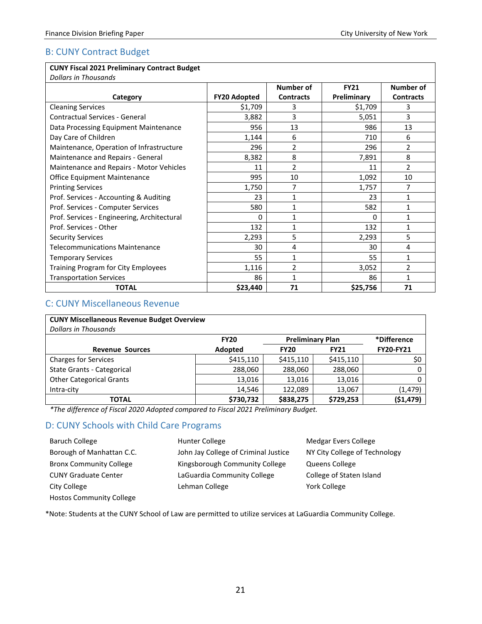#### <span id="page-22-0"></span>B: CUNY Contract Budget

#### **CUNY Fiscal 2021 Preliminary Contract Budget**

*Dollars in Thousands*

| ponars in Thousanus                         |                     |                  |             |                  |
|---------------------------------------------|---------------------|------------------|-------------|------------------|
|                                             |                     | Number of        | <b>FY21</b> | Number of        |
| Category                                    | <b>FY20 Adopted</b> | <b>Contracts</b> | Preliminary | <b>Contracts</b> |
| <b>Cleaning Services</b>                    | \$1,709             | 3                | \$1,709     | 3                |
| <b>Contractual Services - General</b>       | 3,882               | 3                | 5,051       | 3                |
| Data Processing Equipment Maintenance       | 956                 | 13               | 986         | 13               |
| Day Care of Children                        | 1,144               | 6                | 710         | 6                |
| Maintenance, Operation of Infrastructure    | 296                 | 2                | 296         | 2                |
| Maintenance and Repairs - General           | 8,382               | 8                | 7,891       | 8                |
| Maintenance and Repairs - Motor Vehicles    | 11                  | $\overline{2}$   | 11          | $\overline{2}$   |
| <b>Office Equipment Maintenance</b>         | 995                 | 10               | 1,092       | 10               |
| <b>Printing Services</b>                    | 1,750               | 7                | 1,757       | 7                |
| Prof. Services - Accounting & Auditing      | 23                  | 1                | 23          | 1                |
| Prof. Services - Computer Services          | 580                 | 1                | 582         | 1                |
| Prof. Services - Engineering, Architectural | 0                   | 1                | 0           | 1                |
| Prof. Services - Other                      | 132                 | 1                | 132         | $\mathbf{1}$     |
| <b>Security Services</b>                    | 2,293               | 5                | 2,293       | 5                |
| <b>Telecommunications Maintenance</b>       | 30                  | 4                | 30          | 4                |
| <b>Temporary Services</b>                   | 55                  | 1                | 55          | 1                |
| Training Program for City Employees         | 1,116               | $\overline{2}$   | 3,052       | $\overline{2}$   |
| <b>Transportation Services</b>              | 86                  | 1                | 86          | 1                |
| <b>TOTAL</b>                                | \$23,440            | 71               | \$25,756    | 71               |

#### <span id="page-22-1"></span>C: CUNY Miscellaneous Revenue

| <b>CUNY Miscellaneous Revenue Budget Overview</b> |             |                         |             |                  |
|---------------------------------------------------|-------------|-------------------------|-------------|------------------|
| <b>Dollars in Thousands</b>                       |             |                         |             |                  |
|                                                   | <b>FY20</b> | <b>Preliminary Plan</b> |             | *Difference      |
| <b>Revenue Sources</b>                            | Adopted     | <b>FY20</b>             | <b>FY21</b> | <b>FY20-FY21</b> |
| <b>Charges for Services</b>                       | \$415,110   | \$415,110               | \$415,110   | \$0              |
| <b>State Grants - Categorical</b>                 | 288,060     | 288,060                 | 288,060     |                  |
| <b>Other Categorical Grants</b>                   | 13,016      | 13,016                  | 13,016      |                  |
| Intra-city                                        | 14,546      | 122,089                 | 13,067      | (1, 479)         |
| <b>TOTAL</b>                                      | \$730,732   | \$838,275               | \$729,253   | ( \$1,479)       |

*\*The difference of Fiscal 2020 Adopted compared to Fiscal 2021 Preliminary Budget.*

#### <span id="page-22-2"></span>D: CUNY Schools with Child Care Programs

| Baruch College                  | Hunter College                       | Medgar Evers College          |
|---------------------------------|--------------------------------------|-------------------------------|
| Borough of Manhattan C.C.       | John Jay College of Criminal Justice | NY City College of Technology |
| <b>Bronx Community College</b>  | Kingsborough Community College       | Queens College                |
| <b>CUNY Graduate Center</b>     | LaGuardia Community College          | College of Staten Island      |
| City College                    | Lehman College                       | York College                  |
| <b>Hostos Community College</b> |                                      |                               |

\*Note: Students at the CUNY School of Law are permitted to utilize services at LaGuardia Community College.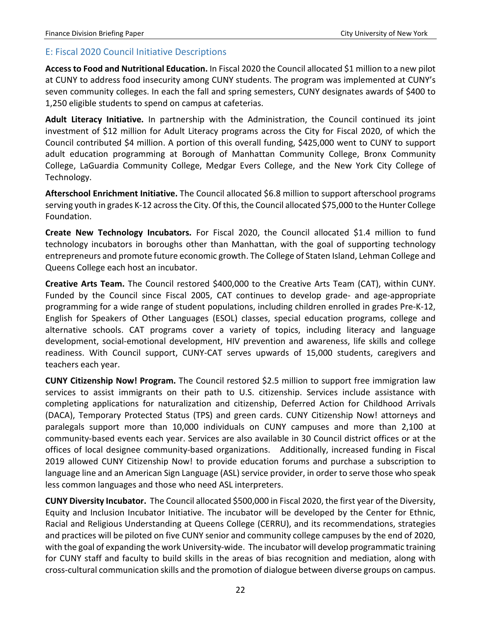#### <span id="page-23-0"></span>E: Fiscal 2020 Council Initiative Descriptions

**Access to Food and Nutritional Education.** In Fiscal 2020 the Council allocated \$1 million to a new pilot at CUNY to address food insecurity among CUNY students. The program was implemented at CUNY's seven community colleges. In each the fall and spring semesters, CUNY designates awards of \$400 to 1,250 eligible students to spend on campus at cafeterias.

**Adult Literacy Initiative.** In partnership with the Administration, the Council continued its joint investment of \$12 million for Adult Literacy programs across the City for Fiscal 2020, of which the Council contributed \$4 million. A portion of this overall funding, \$425,000 went to CUNY to support adult education programming at Borough of Manhattan Community College, Bronx Community College, LaGuardia Community College, Medgar Evers College, and the New York City College of Technology.

**Afterschool Enrichment Initiative.** The Council allocated \$6.8 million to support afterschool programs serving youth in grades K-12 across the City. Of this, the Council allocated \$75,000 to the Hunter College Foundation.

**Create New Technology Incubators.** For Fiscal 2020, the Council allocated \$1.4 million to fund technology incubators in boroughs other than Manhattan, with the goal of supporting technology entrepreneurs and promote future economic growth. The College of Staten Island, Lehman College and Queens College each host an incubator.

**Creative Arts Team.** The Council restored \$400,000 to the Creative Arts Team (CAT), within CUNY. Funded by the Council since Fiscal 2005, CAT continues to develop grade- and age-appropriate programming for a wide range of student populations, including children enrolled in grades Pre-K-12, English for Speakers of Other Languages (ESOL) classes, special education programs, college and alternative schools. CAT programs cover a variety of topics, including literacy and language development, social-emotional development, HIV prevention and awareness, life skills and college readiness. With Council support, CUNY-CAT serves upwards of 15,000 students, caregivers and teachers each year.

**CUNY Citizenship Now! Program.** The Council restored \$2.5 million to support free immigration law services to assist immigrants on their path to U.S. citizenship. Services include assistance with completing applications for naturalization and citizenship, Deferred Action for Childhood Arrivals (DACA), Temporary Protected Status (TPS) and green cards. CUNY Citizenship Now! attorneys and paralegals support more than 10,000 individuals on CUNY campuses and more than 2,100 at community-based events each year. Services are also available in 30 Council district offices or at the offices of local designee community-based organizations. Additionally, increased funding in Fiscal 2019 allowed CUNY Citizenship Now! to provide education forums and purchase a subscription to language line and an American Sign Language (ASL) service provider, in order to serve those who speak less common languages and those who need ASL interpreters.

**CUNY Diversity Incubator.** The Council allocated \$500,000 in Fiscal 2020, the first year of the Diversity, Equity and Inclusion Incubator Initiative. The incubator will be developed by the Center for Ethnic, Racial and Religious Understanding at Queens College (CERRU), and its recommendations, strategies and practices will be piloted on five CUNY senior and community college campuses by the end of 2020, with the goal of expanding the work University-wide. The incubator will develop programmatic training for CUNY staff and faculty to build skills in the areas of bias recognition and mediation, along with cross-cultural communication skills and the promotion of dialogue between diverse groups on campus.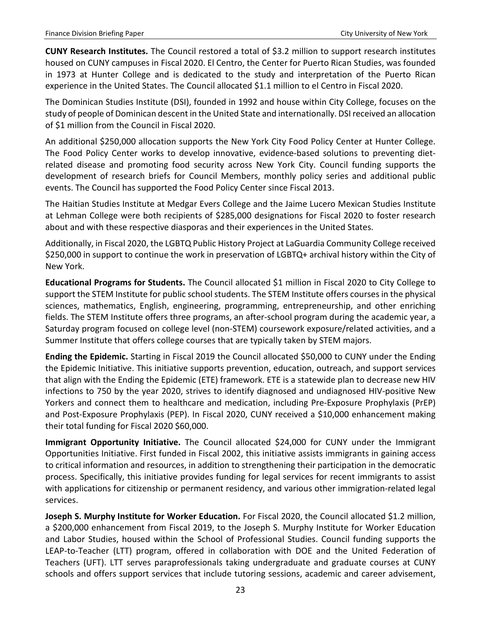**CUNY Research Institutes.** The Council restored a total of \$3.2 million to support research institutes housed on CUNY campuses in Fiscal 2020. El Centro, the Center for Puerto Rican Studies, was founded in 1973 at Hunter College and is dedicated to the study and interpretation of the Puerto Rican experience in the United States. The Council allocated \$1.1 million to el Centro in Fiscal 2020.

The Dominican Studies Institute (DSI), founded in 1992 and house within City College, focuses on the study of people of Dominican descent in the United State and internationally. DSI received an allocation of \$1 million from the Council in Fiscal 2020.

An additional \$250,000 allocation supports the New York City Food Policy Center at Hunter College. The Food Policy Center works to develop innovative, evidence-based solutions to preventing dietrelated disease and promoting food security across New York City. Council funding supports the development of research briefs for Council Members, monthly policy series and additional public events. The Council has supported the Food Policy Center since Fiscal 2013.

The Haitian Studies Institute at Medgar Evers College and the Jaime Lucero Mexican Studies Institute at Lehman College were both recipients of \$285,000 designations for Fiscal 2020 to foster research about and with these respective diasporas and their experiences in the United States.

Additionally, in Fiscal 2020, the LGBTQ Public History Project at LaGuardia Community College received \$250,000 in support to continue the work in preservation of LGBTQ+ archival history within the City of New York.

**Educational Programs for Students.** The Council allocated \$1 million in Fiscal 2020 to City College to support the STEM Institute for public school students. The STEM Institute offers courses in the physical sciences, mathematics, English, engineering, programming, entrepreneurship, and other enriching fields. The STEM Institute offers three programs, an after-school program during the academic year, a Saturday program focused on college level (non-STEM) coursework exposure/related activities, and a Summer Institute that offers college courses that are typically taken by STEM majors.

**Ending the Epidemic.** Starting in Fiscal 2019 the Council allocated \$50,000 to CUNY under the Ending the Epidemic Initiative. This initiative supports prevention, education, outreach, and support services that align with the Ending the Epidemic (ETE) framework. ETE is a statewide plan to decrease new HIV infections to 750 by the year 2020, strives to identify diagnosed and undiagnosed HIV-positive New Yorkers and connect them to healthcare and medication, including Pre-Exposure Prophylaxis (PrEP) and Post-Exposure Prophylaxis (PEP). In Fiscal 2020, CUNY received a \$10,000 enhancement making their total funding for Fiscal 2020 \$60,000.

**Immigrant Opportunity Initiative.** The Council allocated \$24,000 for CUNY under the Immigrant Opportunities Initiative. First funded in Fiscal 2002, this initiative assists immigrants in gaining access to critical information and resources, in addition to strengthening their participation in the democratic process. Specifically, this initiative provides funding for legal services for recent immigrants to assist with applications for citizenship or permanent residency, and various other immigration-related legal services.

**Joseph S. Murphy Institute for Worker Education.** For Fiscal 2020, the Council allocated \$1.2 million, a \$200,000 enhancement from Fiscal 2019, to the Joseph S. Murphy Institute for Worker Education and Labor Studies, housed within the School of Professional Studies. Council funding supports the LEAP-to-Teacher (LTT) program, offered in collaboration with DOE and the United Federation of Teachers (UFT). LTT serves paraprofessionals taking undergraduate and graduate courses at CUNY schools and offers support services that include tutoring sessions, academic and career advisement,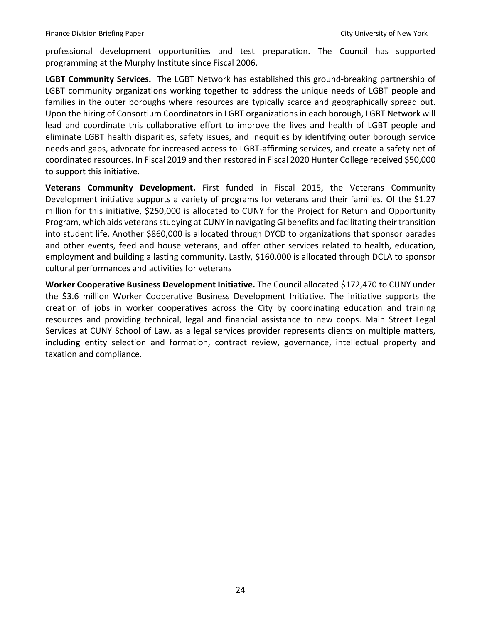professional development opportunities and test preparation. The Council has supported programming at the Murphy Institute since Fiscal 2006.

**LGBT Community Services.** The LGBT Network has established this ground-breaking partnership of LGBT community organizations working together to address the unique needs of LGBT people and families in the outer boroughs where resources are typically scarce and geographically spread out. Upon the hiring of Consortium Coordinators in LGBT organizations in each borough, LGBT Network will lead and coordinate this collaborative effort to improve the lives and health of LGBT people and eliminate LGBT health disparities, safety issues, and inequities by identifying outer borough service needs and gaps, advocate for increased access to LGBT-affirming services, and create a safety net of coordinated resources. In Fiscal 2019 and then restored in Fiscal 2020 Hunter College received \$50,000 to support this initiative.

**Veterans Community Development.** First funded in Fiscal 2015, the Veterans Community Development initiative supports a variety of programs for veterans and their families. Of the \$1.27 million for this initiative, \$250,000 is allocated to CUNY for the Project for Return and Opportunity Program, which aids veterans studying at CUNY in navigating GI benefits and facilitating their transition into student life. Another \$860,000 is allocated through DYCD to organizations that sponsor parades and other events, feed and house veterans, and offer other services related to health, education, employment and building a lasting community. Lastly, \$160,000 is allocated through DCLA to sponsor cultural performances and activities for veterans

**Worker Cooperative Business Development Initiative.** The Council allocated \$172,470 to CUNY under the \$3.6 million Worker Cooperative Business Development Initiative. The initiative supports the creation of jobs in worker cooperatives across the City by coordinating education and training resources and providing technical, legal and financial assistance to new coops. Main Street Legal Services at CUNY School of Law, as a legal services provider represents clients on multiple matters, including entity selection and formation, contract review, governance, intellectual property and taxation and compliance.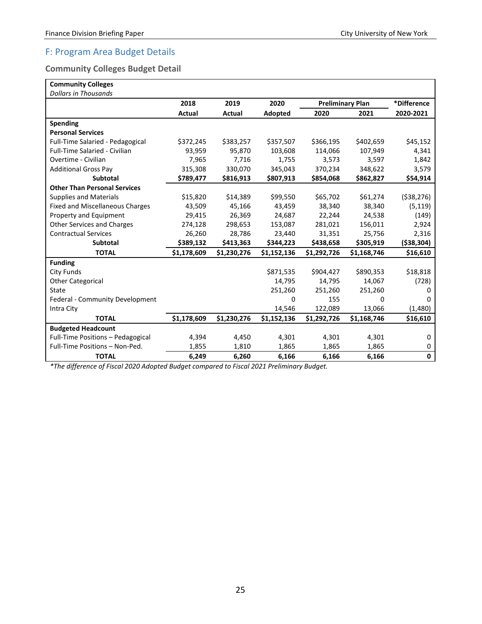# <span id="page-26-0"></span>F: Program Area Budget Details

#### <span id="page-26-1"></span>**Community Colleges Budget Detail**

| <b>Community Colleges</b>              |             |             |             |                         |             |              |
|----------------------------------------|-------------|-------------|-------------|-------------------------|-------------|--------------|
| <b>Dollars in Thousands</b>            |             |             |             |                         |             |              |
|                                        | 2018        | 2019        | 2020        | <b>Preliminary Plan</b> |             | *Difference  |
|                                        | Actual      | Actual      | Adopted     | 2020                    | 2021        | 2020-2021    |
| <b>Spending</b>                        |             |             |             |                         |             |              |
| <b>Personal Services</b>               |             |             |             |                         |             |              |
| Full-Time Salaried - Pedagogical       | \$372,245   | \$383,257   | \$357,507   | \$366,195               | \$402,659   | \$45,152     |
| <b>Full-Time Salaried - Civilian</b>   | 93,959      | 95,870      | 103,608     | 114,066                 | 107,949     | 4,341        |
| Overtime - Civilian                    | 7,965       | 7,716       | 1,755       | 3,573                   | 3,597       | 1,842        |
| <b>Additional Gross Pay</b>            | 315,308     | 330,070     | 345,043     | 370,234                 | 348,622     | 3,579        |
| <b>Subtotal</b>                        | \$789,477   | \$816,913   | \$807,913   | \$854,068               | \$862,827   | \$54,914     |
| <b>Other Than Personal Services</b>    |             |             |             |                         |             |              |
| <b>Supplies and Materials</b>          | \$15,820    | \$14,389    | \$99,550    | \$65,702                | \$61,274    | ( \$38, 276) |
| <b>Fixed and Miscellaneous Charges</b> | 43,509      | 45,166      | 43,459      | 38,340                  | 38,340      | (5, 119)     |
| Property and Equipment                 | 29,415      | 26,369      | 24,687      | 22,244                  | 24,538      | (149)        |
| <b>Other Services and Charges</b>      | 274,128     | 298,653     | 153,087     | 281,021                 | 156,011     | 2,924        |
| <b>Contractual Services</b>            | 26,260      | 28,786      | 23,440      | 31,351                  | 25,756      | 2,316        |
| <b>Subtotal</b>                        | \$389,132   | \$413,363   | \$344,223   | \$438,658               | \$305,919   | ( \$38, 304) |
| <b>TOTAL</b>                           | \$1,178,609 | \$1,230,276 | \$1,152,136 | \$1,292,726             | \$1,168,746 | \$16,610     |
| <b>Funding</b>                         |             |             |             |                         |             |              |
| <b>City Funds</b>                      |             |             | \$871,535   | \$904,427               | \$890,353   | \$18,818     |
| <b>Other Categorical</b>               |             |             | 14,795      | 14,795                  | 14,067      | (728)        |
| State                                  |             |             | 251,260     | 251,260                 | 251,260     | 0            |
| Federal - Community Development        |             |             | 0           | 155                     | 0           | 0            |
| Intra City                             |             |             | 14,546      | 122,089                 | 13,066      | (1,480)      |
| <b>TOTAL</b>                           | \$1,178,609 | \$1,230,276 | \$1,152,136 | \$1,292,726             | \$1,168,746 | \$16,610     |
| <b>Budgeted Headcount</b>              |             |             |             |                         |             |              |
| Full-Time Positions - Pedagogical      | 4,394       | 4,450       | 4,301       | 4,301                   | 4,301       | $\Omega$     |
| Full-Time Positions - Non-Ped.         | 1,855       | 1,810       | 1,865       | 1,865                   | 1,865       | 0            |
| <b>TOTAL</b>                           | 6,249       | 6,260       | 6,166       | 6,166                   | 6,166       | $\mathbf 0$  |

<span id="page-26-2"></span>*\*The difference of Fiscal 2020 Adopted Budget compared to Fiscal 2021 Preliminary Budget.*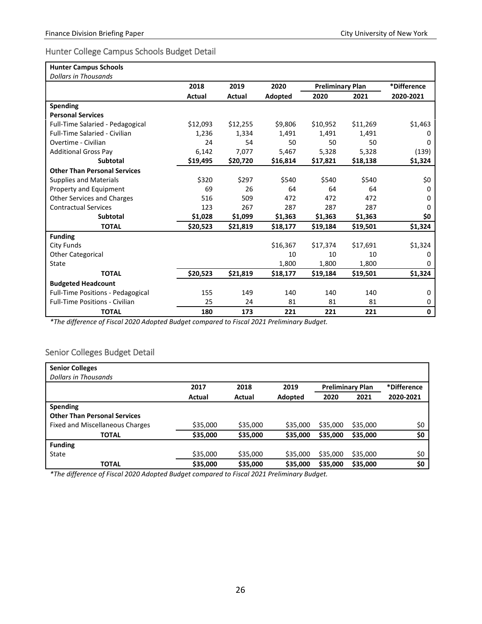$\mathbf l$ 

#### Hunter College Campus Schools Budget Detail

# **Hunter Campus Schools**

| <b>Dollars in Thousands</b>              |               |               |          |                         |          |              |
|------------------------------------------|---------------|---------------|----------|-------------------------|----------|--------------|
|                                          | 2018          | 2019          | 2020     | <b>Preliminary Plan</b> |          | *Difference  |
|                                          | <b>Actual</b> | <b>Actual</b> | Adopted  | 2020<br>2021            |          | 2020-2021    |
| Spending                                 |               |               |          |                         |          |              |
| <b>Personal Services</b>                 |               |               |          |                         |          |              |
| Full-Time Salaried - Pedagogical         | \$12,093      | \$12,255      | \$9,806  | \$10,952                | \$11,269 | \$1,463      |
| <b>Full-Time Salaried - Civilian</b>     | 1,236         | 1,334         | 1,491    | 1,491                   | 1,491    | 0            |
| Overtime - Civilian                      | 24            | 54            | 50       | 50                      | 50       | 0            |
| <b>Additional Gross Pay</b>              | 6,142         | 7,077         | 5,467    | 5,328                   | 5,328    | (139)        |
| <b>Subtotal</b>                          | \$19,495      | \$20,720      | \$16,814 | \$17,821                | \$18,138 | \$1,324      |
| <b>Other Than Personal Services</b>      |               |               |          |                         |          |              |
| <b>Supplies and Materials</b>            | \$320         | \$297         | \$540    | \$540                   | \$540    | \$0          |
| Property and Equipment                   | 69            | 26            | 64       | 64                      | 64       | 0            |
| <b>Other Services and Charges</b>        | 516           | 509           | 472      | 472                     | 472      | 0            |
| <b>Contractual Services</b>              | 123           | 267           | 287      | 287                     | 287      | $\Omega$     |
| <b>Subtotal</b>                          | \$1,028       | \$1,099       | \$1,363  | \$1,363                 | \$1,363  | \$0          |
| <b>TOTAL</b>                             | \$20,523      | \$21,819      | \$18,177 | \$19,184                | \$19,501 | \$1,324      |
| <b>Funding</b>                           |               |               |          |                         |          |              |
| City Funds                               |               |               | \$16,367 | \$17,374                | \$17,691 | \$1,324      |
| <b>Other Categorical</b>                 |               |               | 10       | 10                      | 10       | $\mathbf{0}$ |
| State                                    |               |               | 1,800    | 1,800                   | 1,800    | 0            |
| <b>TOTAL</b>                             | \$20,523      | \$21,819      | \$18,177 | \$19,184                | \$19,501 | \$1,324      |
| <b>Budgeted Headcount</b>                |               |               |          |                         |          |              |
| <b>Full-Time Positions - Pedagogical</b> | 155           | 149           | 140      | 140                     | 140      | $\mathbf{0}$ |
| <b>Full-Time Positions - Civilian</b>    | 25            | 24            | 81       | 81                      | 81       | 0            |
| <b>TOTAL</b>                             | 180           | 173           | 221      | 221                     | 221      | 0            |

*\*The difference of Fiscal 2020 Adopted Budget compared to Fiscal 2021 Preliminary Budget.*

#### <span id="page-27-0"></span>Senior Colleges Budget Detail

| <b>Senior Colleges</b>                 |               |          |          |                         |          |             |
|----------------------------------------|---------------|----------|----------|-------------------------|----------|-------------|
| Dollars in Thousands                   |               |          |          |                         |          |             |
|                                        | 2017          | 2018     | 2019     | <b>Preliminary Plan</b> |          | *Difference |
|                                        | <b>Actual</b> | Actual   | Adopted  | 2020                    | 2021     | 2020-2021   |
| Spending                               |               |          |          |                         |          |             |
| <b>Other Than Personal Services</b>    |               |          |          |                         |          |             |
| <b>Fixed and Miscellaneous Charges</b> | \$35,000      | \$35,000 | \$35,000 | \$35,000                | \$35,000 | \$0         |
| <b>TOTAL</b>                           | \$35,000      | \$35,000 | \$35,000 | \$35,000                | \$35,000 | \$0         |
| <b>Funding</b>                         |               |          |          |                         |          |             |
| State                                  | \$35,000      | \$35,000 | \$35,000 | \$35,000                | \$35,000 | \$0         |
| <b>TOTAL</b>                           | \$35,000      | \$35,000 | \$35,000 | \$35,000                | \$35,000 | \$0         |

*\*The difference of Fiscal 2020 Adopted Budget compared to Fiscal 2021 Preliminary Budget.*